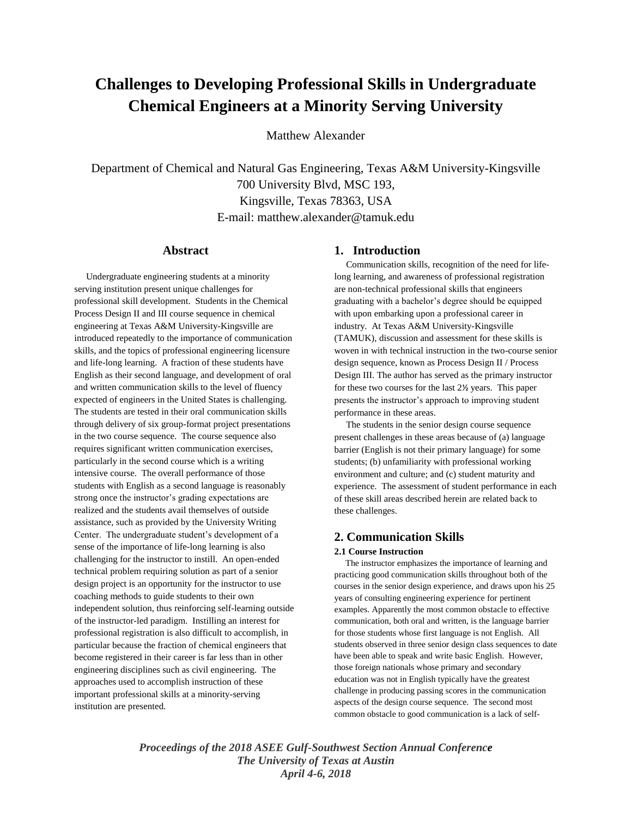# **Challenges to Developing Professional Skills in Undergraduate Chemical Engineers at a Minority Serving University**

Matthew Alexander

Department of Chemical and Natural Gas Engineering, Texas A&M University-Kingsville 700 University Blvd, MSC 193, Kingsville, Texas 78363, USA E-mail: matthew.alexander@tamuk.edu

# **Abstract**

 Undergraduate engineering students at a minority serving institution present unique challenges for professional skill development. Students in the Chemical Process Design II and III course sequence in chemical engineering at Texas A&M University-Kingsville are introduced repeatedly to the importance of communication skills, and the topics of professional engineering licensure and life-long learning. A fraction of these students have English as their second language, and development of oral and written communication skills to the level of fluency expected of engineers in the United States is challenging. The students are tested in their oral communication skills through delivery of six group-format project presentations in the two course sequence. The course sequence also requires significant written communication exercises, particularly in the second course which is a writing intensive course. The overall performance of those students with English as a second language is reasonably strong once the instructor's grading expectations are realized and the students avail themselves of outside assistance, such as provided by the University Writing Center. The undergraduate student's development of a sense of the importance of life-long learning is also challenging for the instructor to instill. An open-ended technical problem requiring solution as part of a senior design project is an opportunity for the instructor to use coaching methods to guide students to their own independent solution, thus reinforcing self-learning outside of the instructor-led paradigm. Instilling an interest for professional registration is also difficult to accomplish, in particular because the fraction of chemical engineers that become registered in their career is far less than in other engineering disciplines such as civil engineering. The approaches used to accomplish instruction of these important professional skills at a minority-serving institution are presented.

# **1. Introduction**

 Communication skills, recognition of the need for lifelong learning, and awareness of professional registration are non-technical professional skills that engineers graduating with a bachelor's degree should be equipped with upon embarking upon a professional career in industry. At Texas A&M University-Kingsville (TAMUK), discussion and assessment for these skills is woven in with technical instruction in the two-course senior design sequence, known as Process Design II / Process Design III. The author has served as the primary instructor for these two courses for the last 2½ years. This paper presents the instructor's approach to improving student performance in these areas.

 The students in the senior design course sequence present challenges in these areas because of (a) language barrier (English is not their primary language) for some students; (b) unfamiliarity with professional working environment and culture; and (c) student maturity and experience. The assessment of student performance in each of these skill areas described herein are related back to these challenges.

# **2. Communication Skills**

#### **2.1 Course Instruction**

 The instructor emphasizes the importance of learning and practicing good communication skills throughout both of the courses in the senior design experience, and draws upon his 25 years of consulting engineering experience for pertinent examples. Apparently the most common obstacle to effective communication, both oral and written, is the language barrier for those students whose first language is not English. All students observed in three senior design class sequences to date have been able to speak and write basic English. However, those foreign nationals whose primary and secondary education was not in English typically have the greatest challenge in producing passing scores in the communication aspects of the design course sequence. The second most common obstacle to good communication is a lack of self-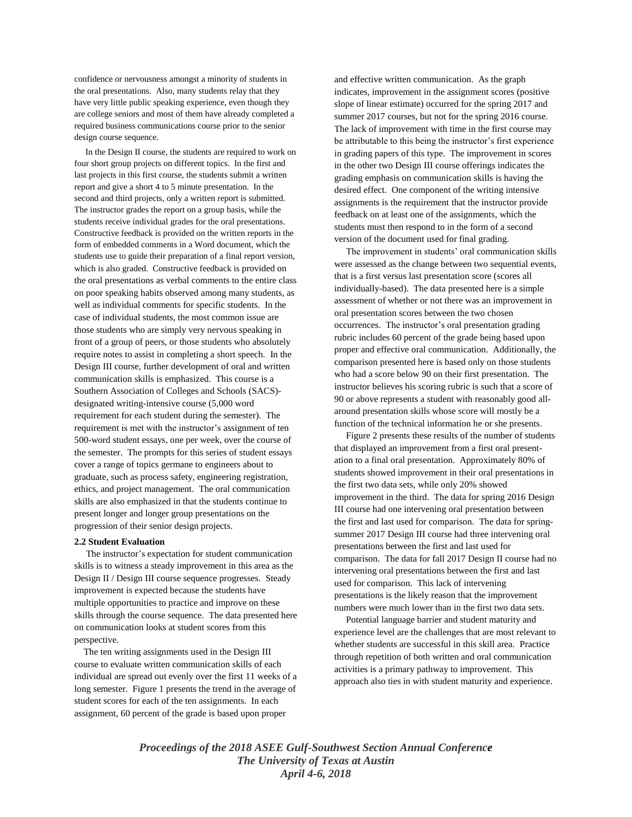confidence or nervousness amongst a minority of students in the oral presentations. Also, many students relay that they have very little public speaking experience, even though they are college seniors and most of them have already completed a required business communications course prior to the senior design course sequence.

 In the Design II course, the students are required to work on four short group projects on different topics. In the first and last projects in this first course, the students submit a written report and give a short 4 to 5 minute presentation. In the second and third projects, only a written report is submitted. The instructor grades the report on a group basis, while the students receive individual grades for the oral presentations. Constructive feedback is provided on the written reports in the form of embedded comments in a Word document, which the students use to guide their preparation of a final report version, which is also graded. Constructive feedback is provided on the oral presentations as verbal comments to the entire class on poor speaking habits observed among many students, as well as individual comments for specific students. In the case of individual students, the most common issue are those students who are simply very nervous speaking in front of a group of peers, or those students who absolutely require notes to assist in completing a short speech. In the Design III course, further development of oral and written communication skills is emphasized. This course is a Southern Association of Colleges and Schools (SACS) designated writing-intensive course (5,000 word requirement for each student during the semester). The requirement is met with the instructor's assignment of ten 500-word student essays, one per week, over the course of the semester. The prompts for this series of student essays cover a range of topics germane to engineers about to graduate, such as process safety, engineering registration, ethics, and project management. The oral communication skills are also emphasized in that the students continue to present longer and longer group presentations on the progression of their senior design projects.

#### **2.2 Student Evaluation**

 The instructor's expectation for student communication skills is to witness a steady improvement in this area as the Design II / Design III course sequence progresses. Steady improvement is expected because the students have multiple opportunities to practice and improve on these skills through the course sequence. The data presented here on communication looks at student scores from this perspective.

 The ten writing assignments used in the Design III course to evaluate written communication skills of each individual are spread out evenly over the first 11 weeks of a long semester. Figure 1 presents the trend in the average of student scores for each of the ten assignments. In each assignment, 60 percent of the grade is based upon proper

and effective written communication. As the graph indicates, improvement in the assignment scores (positive slope of linear estimate) occurred for the spring 2017 and summer 2017 courses, but not for the spring 2016 course. The lack of improvement with time in the first course may be attributable to this being the instructor's first experience in grading papers of this type. The improvement in scores in the other two Design III course offerings indicates the grading emphasis on communication skills is having the desired effect. One component of the writing intensive assignments is the requirement that the instructor provide feedback on at least one of the assignments, which the students must then respond to in the form of a second version of the document used for final grading.

 The improvement in students' oral communication skills were assessed as the change between two sequential events, that is a first versus last presentation score (scores all individually-based). The data presented here is a simple assessment of whether or not there was an improvement in oral presentation scores between the two chosen occurrences. The instructor's oral presentation grading rubric includes 60 percent of the grade being based upon proper and effective oral communication. Additionally, the comparison presented here is based only on those students who had a score below 90 on their first presentation. The instructor believes his scoring rubric is such that a score of 90 or above represents a student with reasonably good allaround presentation skills whose score will mostly be a function of the technical information he or she presents.

 Figure 2 presents these results of the number of students that displayed an improvement from a first oral presentation to a final oral presentation. Approximately 80% of students showed improvement in their oral presentations in the first two data sets, while only 20% showed improvement in the third. The data for spring 2016 Design III course had one intervening oral presentation between the first and last used for comparison. The data for springsummer 2017 Design III course had three intervening oral presentations between the first and last used for comparison. The data for fall 2017 Design II course had no intervening oral presentations between the first and last used for comparison. This lack of intervening presentations is the likely reason that the improvement numbers were much lower than in the first two data sets.

 Potential language barrier and student maturity and experience level are the challenges that are most relevant to whether students are successful in this skill area. Practice through repetition of both written and oral communication activities is a primary pathway to improvement. This approach also ties in with student maturity and experience.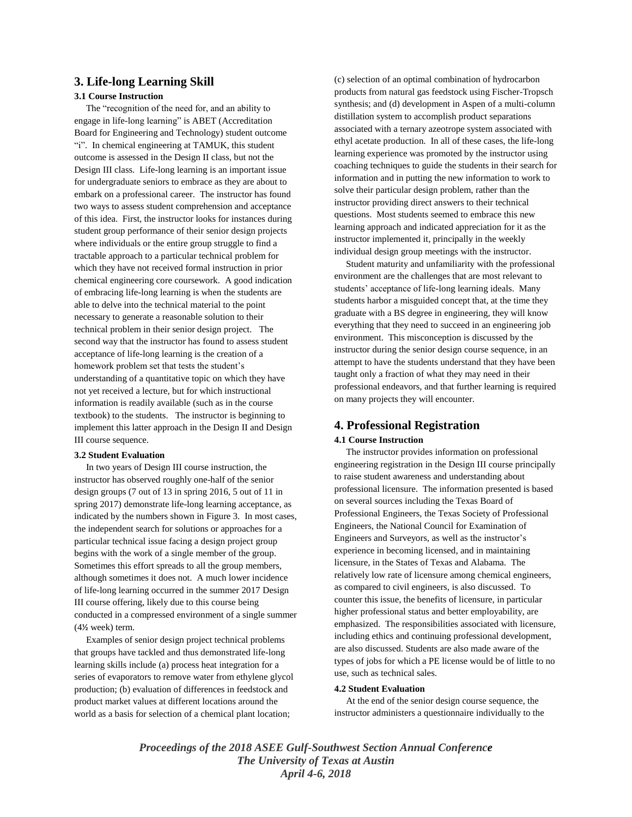# **3. Life-long Learning Skill**

#### **3.1 Course Instruction**

 The "recognition of the need for, and an ability to engage in life-long learning" is ABET (Accreditation Board for Engineering and Technology) student outcome "i". In chemical engineering at TAMUK, this student outcome is assessed in the Design II class, but not the Design III class. Life-long learning is an important issue for undergraduate seniors to embrace as they are about to embark on a professional career. The instructor has found two ways to assess student comprehension and acceptance of this idea. First, the instructor looks for instances during student group performance of their senior design projects where individuals or the entire group struggle to find a tractable approach to a particular technical problem for which they have not received formal instruction in prior chemical engineering core coursework. A good indication of embracing life-long learning is when the students are able to delve into the technical material to the point necessary to generate a reasonable solution to their technical problem in their senior design project. The second way that the instructor has found to assess student acceptance of life-long learning is the creation of a homework problem set that tests the student's understanding of a quantitative topic on which they have not yet received a lecture, but for which instructional information is readily available (such as in the course textbook) to the students. The instructor is beginning to implement this latter approach in the Design II and Design III course sequence.

#### **3.2 Student Evaluation**

 In two years of Design III course instruction, the instructor has observed roughly one-half of the senior design groups (7 out of 13 in spring 2016, 5 out of 11 in spring 2017) demonstrate life-long learning acceptance, as indicated by the numbers shown in Figure 3. In most cases, the independent search for solutions or approaches for a particular technical issue facing a design project group begins with the work of a single member of the group. Sometimes this effort spreads to all the group members, although sometimes it does not. A much lower incidence of life-long learning occurred in the summer 2017 Design III course offering, likely due to this course being conducted in a compressed environment of a single summer (4½ week) term.

 Examples of senior design project technical problems that groups have tackled and thus demonstrated life-long learning skills include (a) process heat integration for a series of evaporators to remove water from ethylene glycol production; (b) evaluation of differences in feedstock and product market values at different locations around the world as a basis for selection of a chemical plant location;

(c) selection of an optimal combination of hydrocarbon products from natural gas feedstock using Fischer-Tropsch synthesis; and (d) development in Aspen of a multi-column distillation system to accomplish product separations associated with a ternary azeotrope system associated with ethyl acetate production. In all of these cases, the life-long learning experience was promoted by the instructor using coaching techniques to guide the students in their search for information and in putting the new information to work to solve their particular design problem, rather than the instructor providing direct answers to their technical questions. Most students seemed to embrace this new learning approach and indicated appreciation for it as the instructor implemented it, principally in the weekly individual design group meetings with the instructor.

 Student maturity and unfamiliarity with the professional environment are the challenges that are most relevant to students' acceptance of life-long learning ideals. Many students harbor a misguided concept that, at the time they graduate with a BS degree in engineering, they will know everything that they need to succeed in an engineering job environment. This misconception is discussed by the instructor during the senior design course sequence, in an attempt to have the students understand that they have been taught only a fraction of what they may need in their professional endeavors, and that further learning is required on many projects they will encounter.

# **4. Professional Registration**

#### **4.1 Course Instruction**

 The instructor provides information on professional engineering registration in the Design III course principally to raise student awareness and understanding about professional licensure. The information presented is based on several sources including the Texas Board of Professional Engineers, the Texas Society of Professional Engineers, the National Council for Examination of Engineers and Surveyors, as well as the instructor's experience in becoming licensed, and in maintaining licensure, in the States of Texas and Alabama. The relatively low rate of licensure among chemical engineers, as compared to civil engineers, is also discussed. To counter this issue, the benefits of licensure, in particular higher professional status and better employability, are emphasized. The responsibilities associated with licensure, including ethics and continuing professional development, are also discussed. Students are also made aware of the types of jobs for which a PE license would be of little to no use, such as technical sales.

#### **4.2 Student Evaluation**

 At the end of the senior design course sequence, the instructor administers a questionnaire individually to the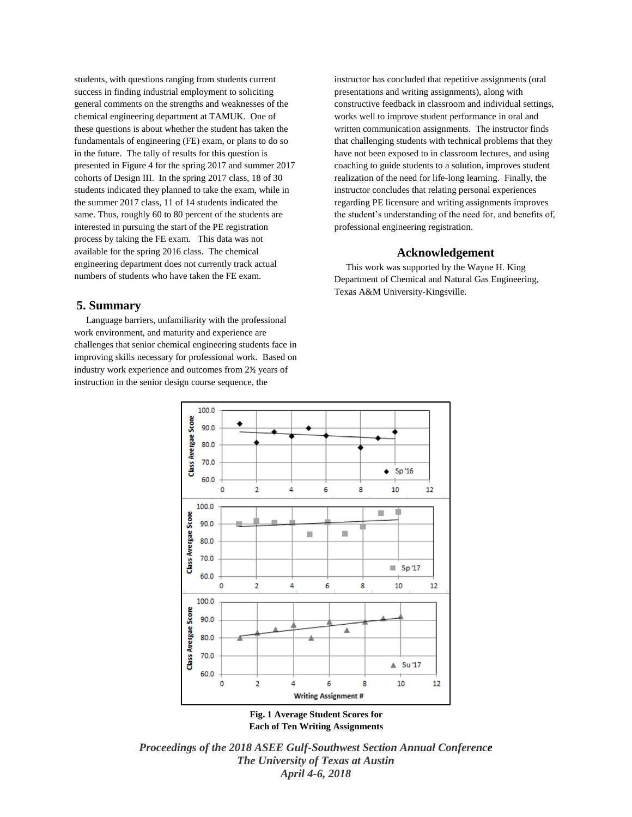students, with questions ranging from students current success in finding industrial employment to soliciting general comments on the strengths and weaknesses of the chemical engineering department at TAMUK. One of these questions is about whether the student has taken the fundamentals of engineering (FE) exam, or plans to do so in the future. The tally of results for this question is presented in Figure 4 for the spring 2017 and summer 2017 cohorts of Design III. In the spring 2017 class, 18 of 30 students indicated they planned to take the exam, while in the summer 2017 class, 11 of 14 students indicated the same. Thus, roughly 60 to 80 percent of the students are interested in pursuing the start of the PE registration process by taking the FE exam. This data was not available for the spring 2016 class. The chemical engineering department does not currently track actual numbers of students who have taken the FE exam.

# **5. Summary**

 Language barriers, unfamiliarity with the professional work environment, and maturity and experience are challenges that senior chemical engineering students face in improving skills necessary for professional work. Based on industry work experience and outcomes from 2½ years of instruction in the senior design course sequence, the

instructor has concluded that repetitive assignments (oral presentations and writing assignments), along with constructive feedback in classroom and individual settings, works well to improve student performance in oral and written communication assignments. The instructor finds that challenging students with technical problems that they have not been exposed to in classroom lectures, and using coaching to guide students to a solution, improves student realization of the need for life-long learning. Finally, the instructor concludes that relating personal experiences regarding PE licensure and writing assignments improves the student's understanding of the need for, and benefits of, professional engineering registration.

### **Acknowledgement**

 This work was supported by the Wayne H. King Department of Chemical and Natural Gas Engineering, Texas A&M University-Kingsville.



**Each of Ten Writing Assignments**

*Proceedings of the 2018 ASEE Gulf-Southwest Section Annual Conference The University of Texas at Austin April 4-6, 2018*